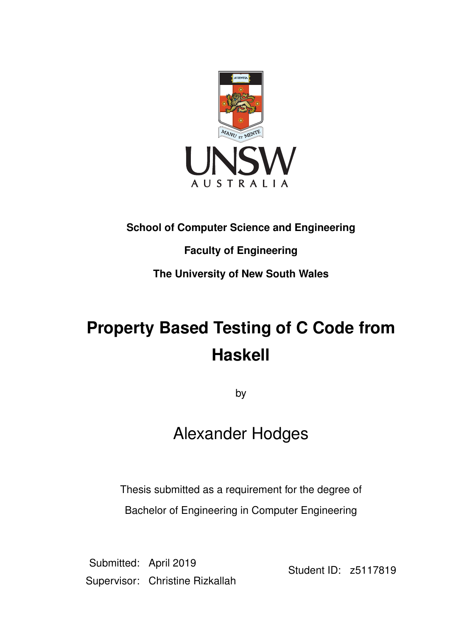

## **School of Computer Science and Engineering**

## **Faculty of Engineering**

**The University of New South Wales**

## **Property Based Testing of C Code from Haskell**

by

## Alexander Hodges

Thesis submitted as a requirement for the degree of Bachelor of Engineering in Computer Engineering

Submitted: April 2019 Supervisor: Christine Rizkallah

Student ID: z5117819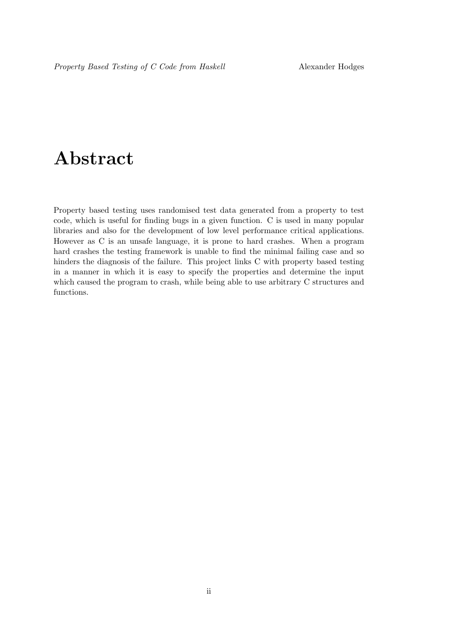## Abstract

Property based testing uses randomised test data generated from a property to test code, which is useful for finding bugs in a given function. C is used in many popular libraries and also for the development of low level performance critical applications. However as C is an unsafe language, it is prone to hard crashes. When a program hard crashes the testing framework is unable to find the minimal failing case and so hinders the diagnosis of the failure. This project links C with property based testing in a manner in which it is easy to specify the properties and determine the input which caused the program to crash, while being able to use arbitrary C structures and functions.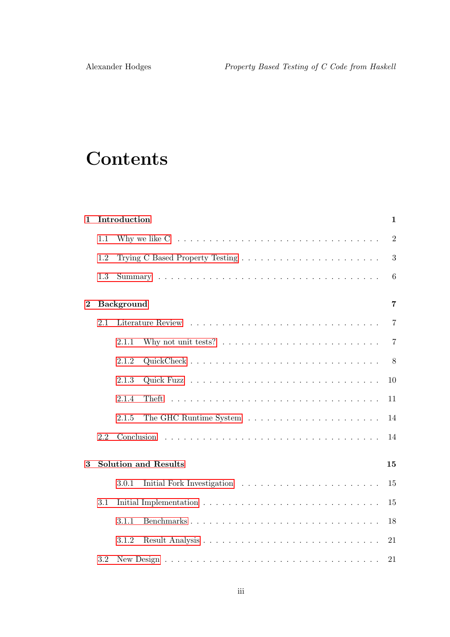## **Contents**

| 1              | Introduction                        |                                                                                                          |  |  |  |
|----------------|-------------------------------------|----------------------------------------------------------------------------------------------------------|--|--|--|
|                | 1.1                                 | Why we like $C_1, \ldots, C_n, \ldots, C_n$<br>$\overline{2}$                                            |  |  |  |
|                | 1.2                                 | 3                                                                                                        |  |  |  |
|                | 1.3                                 |                                                                                                          |  |  |  |
| $\overline{2}$ | <b>Background</b><br>$\overline{7}$ |                                                                                                          |  |  |  |
|                | 2.1                                 | 7                                                                                                        |  |  |  |
|                |                                     | Why not unit tests? $\ldots \ldots \ldots \ldots \ldots \ldots \ldots \ldots$<br>$\overline{7}$<br>2.1.1 |  |  |  |
|                |                                     | 8<br>2.1.2                                                                                               |  |  |  |
|                |                                     | 2.1.3<br>10                                                                                              |  |  |  |
|                |                                     | 2.1.4<br>11                                                                                              |  |  |  |
|                |                                     | 14<br>2.1.5                                                                                              |  |  |  |
| 2.2            |                                     |                                                                                                          |  |  |  |
| 3              |                                     | <b>Solution and Results</b><br>15                                                                        |  |  |  |
|                |                                     | 3.0.1<br>15                                                                                              |  |  |  |
| 3.1            |                                     | 15                                                                                                       |  |  |  |
|                |                                     | Benchmarks<br>18<br>3.1.1                                                                                |  |  |  |
|                |                                     | 3.1.2<br>21                                                                                              |  |  |  |
|                | 3.2                                 |                                                                                                          |  |  |  |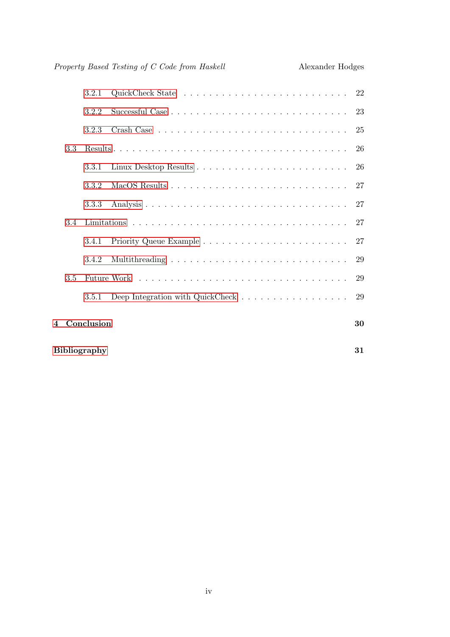|   | <b>Bibliography</b><br>31 |            |  |    |  |  |  |
|---|---------------------------|------------|--|----|--|--|--|
| 4 |                           | Conclusion |  | 30 |  |  |  |
|   |                           | 3.5.1      |  | 29 |  |  |  |
|   | 3.5                       |            |  | 29 |  |  |  |
|   |                           | 3.4.2      |  | 29 |  |  |  |
|   |                           | 3.4.1      |  | 27 |  |  |  |
|   | 3.4                       |            |  | 27 |  |  |  |
|   |                           | 3.3.3      |  |    |  |  |  |
|   |                           | 3.3.2      |  | 27 |  |  |  |
|   |                           | 3.3.1      |  | 26 |  |  |  |
|   | 3.3                       |            |  | 26 |  |  |  |
|   |                           | 3.2.3      |  | 25 |  |  |  |
|   |                           | 3.2.2      |  | 23 |  |  |  |
|   |                           | 3.2.1      |  | 22 |  |  |  |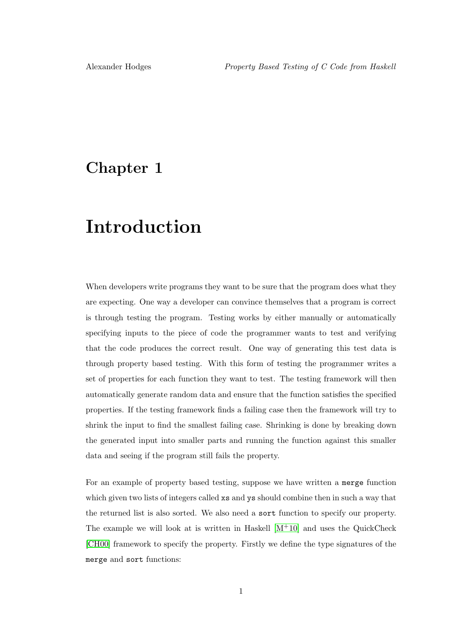## <span id="page-4-0"></span>Chapter 1

## Introduction

When developers write programs they want to be sure that the program does what they are expecting. One way a developer can convince themselves that a program is correct is through testing the program. Testing works by either manually or automatically specifying inputs to the piece of code the programmer wants to test and verifying that the code produces the correct result. One way of generating this test data is through property based testing. With this form of testing the programmer writes a set of properties for each function they want to test. The testing framework will then automatically generate random data and ensure that the function satisfies the specified properties. If the testing framework finds a failing case then the framework will try to shrink the input to find the smallest failing case. Shrinking is done by breaking down the generated input into smaller parts and running the function against this smaller data and seeing if the program still fails the property.

For an example of property based testing, suppose we have written a merge function which given two lists of integers called xs and ys should combine then in such a way that the returned list is also sorted. We also need a sort function to specify our property. The example we will look at is written in Haskell  $[M<sup>+</sup>10]$  $[M<sup>+</sup>10]$  and uses the QuickCheck [\[CH00\]](#page-34-1) framework to specify the property. Firstly we define the type signatures of the merge and sort functions: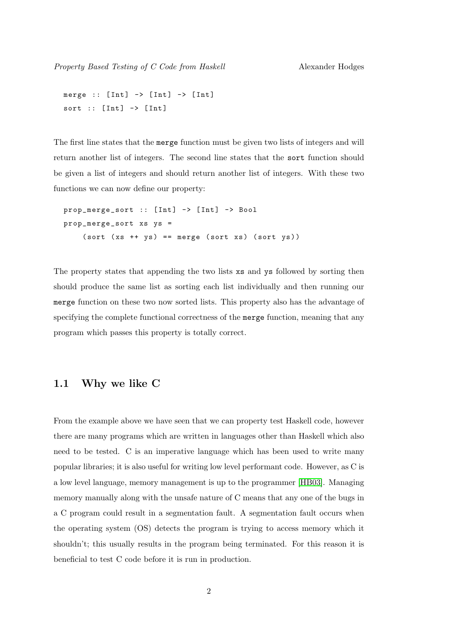```
merge :: [Int] \rightarrow [Int] \rightarrow [Int]
sort :: [Int] \rightarrow [Int]
```
The first line states that the merge function must be given two lists of integers and will return another list of integers. The second line states that the sort function should be given a list of integers and should return another list of integers. With these two functions we can now define our property:

```
prop\_merge\_sort :: [Int] \rightarrow [Int] \rightarrow Bool1prop_merge_sort xs ys =
    (sort (xs ++ ys) == merge (sort xs) (sort ys))
```
The property states that appending the two lists xs and ys followed by sorting then should produce the same list as sorting each list individually and then running our merge function on these two now sorted lists. This property also has the advantage of specifying the complete functional correctness of the merge function, meaning that any program which passes this property is totally correct.

#### <span id="page-5-0"></span>1.1 Why we like C

From the example above we have seen that we can property test Haskell code, however there are many programs which are written in languages other than Haskell which also need to be tested. C is an imperative language which has been used to write many popular libraries; it is also useful for writing low level performant code. However, as C is a low level language, memory management is up to the programmer [\[HB03\]](#page-34-2). Managing memory manually along with the unsafe nature of C means that any one of the bugs in a C program could result in a segmentation fault. A segmentation fault occurs when the operating system (OS) detects the program is trying to access memory which it shouldn't; this usually results in the program being terminated. For this reason it is beneficial to test C code before it is run in production.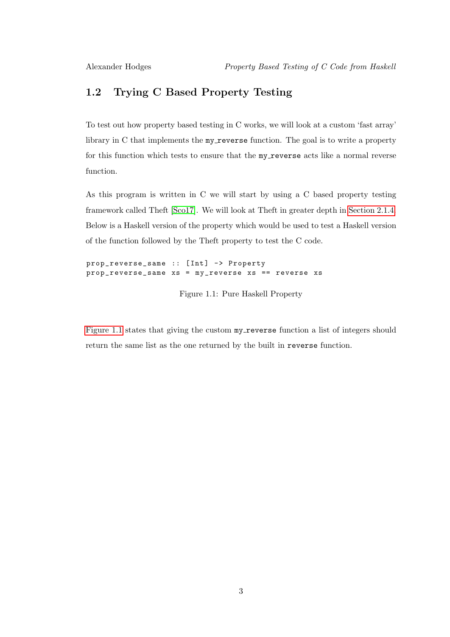### <span id="page-6-0"></span>1.2 Trying C Based Property Testing

To test out how property based testing in C works, we will look at a custom 'fast array' library in C that implements the my reverse function. The goal is to write a property for this function which tests to ensure that the my\_reverse acts like a normal reverse function.

As this program is written in C we will start by using a C based property testing framework called Theft [\[Sco17\]](#page-34-3). We will look at Theft in greater depth in [Section 2.1.4.](#page-14-0) Below is a Haskell version of the property which would be used to test a Haskell version of the function followed by the Theft property to test the C code.

```
prop_reverse_same :: [Int] -> Property
prop_reverse_same xs = my_reverse xs == reverse xs
```
Figure 1.1: Pure Haskell Property

[Figure 1.1](#page-6-1) states that giving the custom  $my\_reverse$  function a list of integers should return the same list as the one returned by the built in reverse function.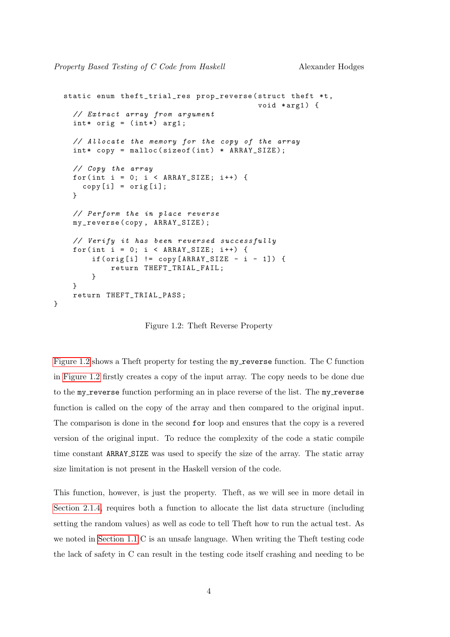}

```
static enum theft_trial_res prop_reverse ( struct theft *t ,
                                             void *arg1) {
  // Extract array from argument
  \text{int} * \text{ origin} = (\text{int} *) \text{ arg1};// Allocate the memory for the copy of the array
  int* copy = malloc(sizeof(int) * ARRAY_SIZE);
  // Copy the array
  for(int i = 0; i < ARRAY_SIZE; i++) {
    copy[i] = orig[i];}
  // Perform the in place reverse
 my_reverse ( copy , ARRAY_SIZE ) ;
 // Verify it has been reversed successfully
  for(int i = 0; i < ARRAY_SIZE; i++) {
      if (orig[i] != copy [ARRAY_SIZE - i - 1]) {
          return THEFT_TRIAL_FAIL ;
      }
  }
 return THEFT_TRIAL_PASS ;
```
Figure 1.2: Theft Reverse Property

[Figure 1.2](#page-7-0) shows a Theft property for testing the my reverse function. The C function in [Figure 1.2](#page-7-0) firstly creates a copy of the input array. The copy needs to be done due to the my reverse function performing an in place reverse of the list. The my reverse function is called on the copy of the array and then compared to the original input. The comparison is done in the second for loop and ensures that the copy is a revered version of the original input. To reduce the complexity of the code a static compile time constant ARRAY SIZE was used to specify the size of the array. The static array size limitation is not present in the Haskell version of the code.

This function, however, is just the property. Theft, as we will see in more detail in [Section 2.1.4,](#page-14-0) requires both a function to allocate the list data structure (including setting the random values) as well as code to tell Theft how to run the actual test. As we noted in [Section 1.1](#page-5-0) C is an unsafe language. When writing the Theft testing code the lack of safety in C can result in the testing code itself crashing and needing to be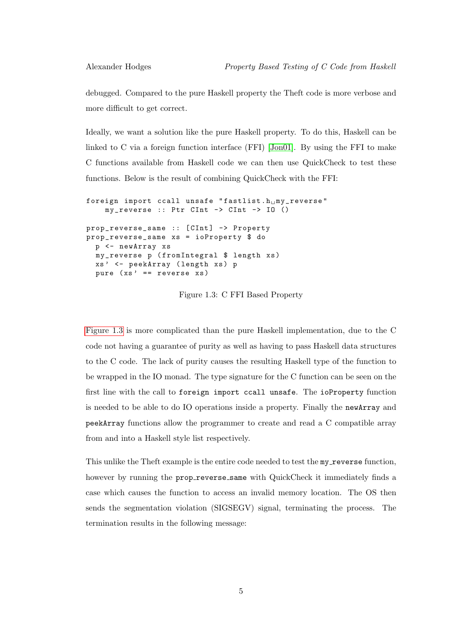debugged. Compared to the pure Haskell property the Theft code is more verbose and more difficult to get correct.

Ideally, we want a solution like the pure Haskell property. To do this, Haskell can be linked to C via a foreign function interface (FFI) [\[Jon01\]](#page-34-4). By using the FFI to make C functions available from Haskell code we can then use QuickCheck to test these functions. Below is the result of combining QuickCheck with the FFI:

<span id="page-8-0"></span>foreign import ccall unsafe "fastlist. $h_{\text{H}}$ my\_reverse" my\_reverse :: Ptr CInt -> CInt -> IO () prop\_reverse\_same :: [CInt] -> Property prop\_reverse\_same xs = ioProperty \$ do p <- newArray xs my\_reverse p ( fromIntegral \$ length xs ) xs ' <- peekArray ( length xs ) p pure  $(xs' == reverse xs)$ 

Figure 1.3: C FFI Based Property

[Figure 1.3](#page-8-0) is more complicated than the pure Haskell implementation, due to the C code not having a guarantee of purity as well as having to pass Haskell data structures to the C code. The lack of purity causes the resulting Haskell type of the function to be wrapped in the IO monad. The type signature for the C function can be seen on the first line with the call to foreign import ccall unsafe. The ioProperty function is needed to be able to do IO operations inside a property. Finally the newArray and peekArray functions allow the programmer to create and read a C compatible array from and into a Haskell style list respectively.

This unlike the Theft example is the entire code needed to test the my reverse function, however by running the prop\_reverse\_same with QuickCheck it immediately finds a case which causes the function to access an invalid memory location. The OS then sends the segmentation violation (SIGSEGV) signal, terminating the process. The termination results in the following message: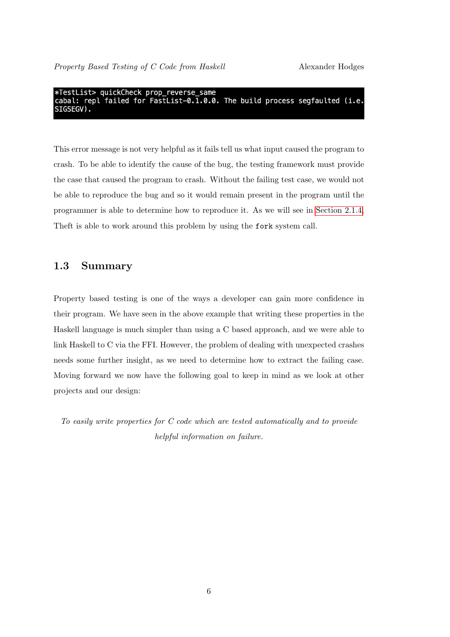\*TestList> quickCheck prop\_reverse\_same cabal: repl failed for FastList-0.1.0.0. The build process segfaulted (i.e. SIGSEGV).

This error message is not very helpful as it fails tell us what input caused the program to crash. To be able to identify the cause of the bug, the testing framework must provide the case that caused the program to crash. Without the failing test case, we would not be able to reproduce the bug and so it would remain present in the program until the programmer is able to determine how to reproduce it. As we will see in [Section 2.1.4,](#page-14-0) Theft is able to work around this problem by using the fork system call.

#### <span id="page-9-0"></span>1.3 Summary

Property based testing is one of the ways a developer can gain more confidence in their program. We have seen in the above example that writing these properties in the Haskell language is much simpler than using a C based approach, and we were able to link Haskell to C via the FFI. However, the problem of dealing with unexpected crashes needs some further insight, as we need to determine how to extract the failing case. Moving forward we now have the following goal to keep in mind as we look at other projects and our design:

To easily write properties for C code which are tested automatically and to provide helpful information on failure.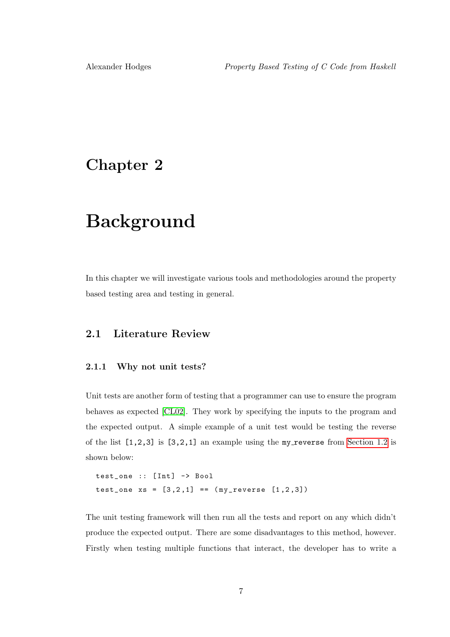## <span id="page-10-0"></span>Chapter 2

## Background

In this chapter we will investigate various tools and methodologies around the property based testing area and testing in general.

#### <span id="page-10-2"></span><span id="page-10-1"></span>2.1 Literature Review

#### 2.1.1 Why not unit tests?

Unit tests are another form of testing that a programmer can use to ensure the program behaves as expected [\[CL02\]](#page-34-5). They work by specifying the inputs to the program and the expected output. A simple example of a unit test would be testing the reverse of the list  $[1,2,3]$  is  $[3,2,1]$  an example using the my-reverse from [Section 1.2](#page-6-0) is shown below:

```
test_one :: [Int] -> Bool
test\_one xs = [3, 2, 1] == (my\_reverse [1, 2, 3])
```
The unit testing framework will then run all the tests and report on any which didn't produce the expected output. There are some disadvantages to this method, however. Firstly when testing multiple functions that interact, the developer has to write a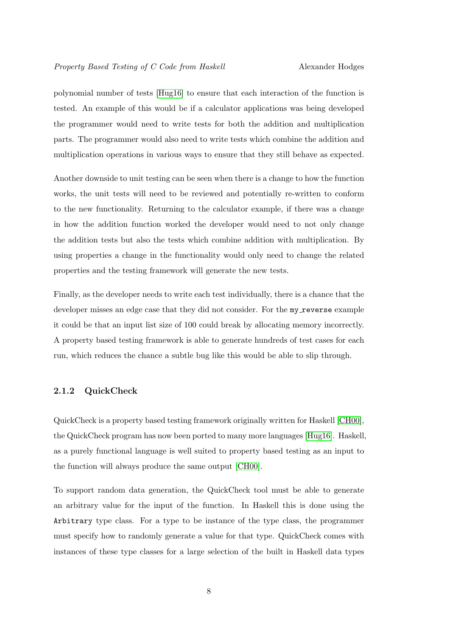polynomial number of tests [\[Hug16\]](#page-34-6) to ensure that each interaction of the function is tested. An example of this would be if a calculator applications was being developed the programmer would need to write tests for both the addition and multiplication parts. The programmer would also need to write tests which combine the addition and multiplication operations in various ways to ensure that they still behave as expected.

Another downside to unit testing can be seen when there is a change to how the function works, the unit tests will need to be reviewed and potentially re-written to conform to the new functionality. Returning to the calculator example, if there was a change in how the addition function worked the developer would need to not only change the addition tests but also the tests which combine addition with multiplication. By using properties a change in the functionality would only need to change the related properties and the testing framework will generate the new tests.

Finally, as the developer needs to write each test individually, there is a chance that the developer misses an edge case that they did not consider. For the my reverse example it could be that an input list size of 100 could break by allocating memory incorrectly. A property based testing framework is able to generate hundreds of test cases for each run, which reduces the chance a subtle bug like this would be able to slip through.

#### <span id="page-11-0"></span>2.1.2 QuickCheck

QuickCheck is a property based testing framework originally written for Haskell [\[CH00\]](#page-34-1), the QuickCheck program has now been ported to many more languages [\[Hug16\]](#page-34-6). Haskell, as a purely functional language is well suited to property based testing as an input to the function will always produce the same output [\[CH00\]](#page-34-1).

To support random data generation, the QuickCheck tool must be able to generate an arbitrary value for the input of the function. In Haskell this is done using the Arbitrary type class. For a type to be instance of the type class, the programmer must specify how to randomly generate a value for that type. QuickCheck comes with instances of these type classes for a large selection of the built in Haskell data types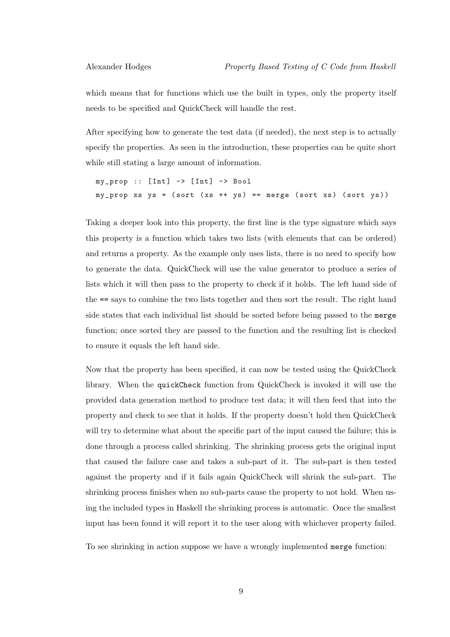which means that for functions which use the built in types, only the property itself needs to be specified and QuickCheck will handle the rest.

After specifying how to generate the test data (if needed), the next step is to actually specify the properties. As seen in the introduction, these properties can be quite short while still stating a large amount of information.

 $my\_prop$  :: [Int] -> [Int] -> Bool  $my\_prop$  xs  $ys = (sort (xs ++ ys) == merge (sort xs) (sort ys))$ 

Taking a deeper look into this property, the first line is the type signature which says this property is a function which takes two lists (with elements that can be ordered) and returns a property. As the example only uses lists, there is no need to specify how to generate the data. QuickCheck will use the value generator to produce a series of lists which it will then pass to the property to check if it holds. The left hand side of the == says to combine the two lists together and then sort the result. The right hand side states that each individual list should be sorted before being passed to the merge function; once sorted they are passed to the function and the resulting list is checked to ensure it equals the left hand side.

Now that the property has been specified, it can now be tested using the QuickCheck library. When the quickCheck function from QuickCheck is invoked it will use the provided data generation method to produce test data; it will then feed that into the property and check to see that it holds. If the property doesn't hold then QuickCheck will try to determine what about the specific part of the input caused the failure; this is done through a process called shrinking. The shrinking process gets the original input that caused the failure case and takes a sub-part of it. The sub-part is then tested against the property and if it fails again QuickCheck will shrink the sub-part. The shrinking process finishes when no sub-parts cause the property to not hold. When using the included types in Haskell the shrinking process is automatic. Once the smallest input has been found it will report it to the user along with whichever property failed.

To see shrinking in action suppose we have a wrongly implemented merge function: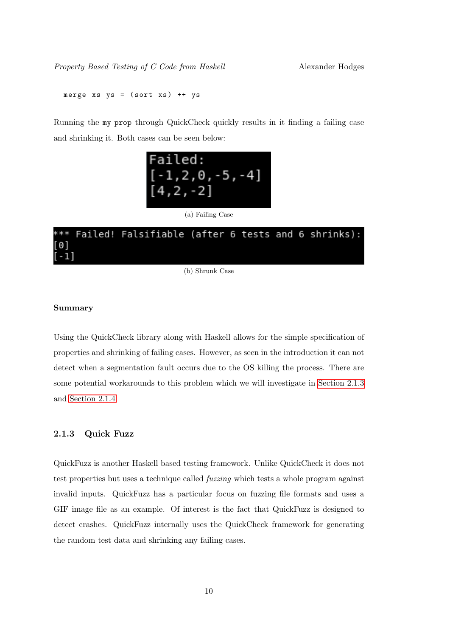merge xs  $ys = (sort xs) ++ ys$ 

Running the my prop through QuickCheck quickly results in it finding a failing case and shrinking it. Both cases can be seen below:





# Failed! Falsifiable (after 6 tests and 6 shrinks):

(b) Shrunk Case

#### Summary

Using the QuickCheck library along with Haskell allows for the simple specification of properties and shrinking of failing cases. However, as seen in the introduction it can not detect when a segmentation fault occurs due to the OS killing the process. There are some potential workarounds to this problem which we will investigate in [Section 2.1.3](#page-13-0) and [Section 2.1.4](#page-14-0)

#### <span id="page-13-0"></span>2.1.3 Quick Fuzz

QuickFuzz is another Haskell based testing framework. Unlike QuickCheck it does not test properties but uses a technique called fuzzing which tests a whole program against invalid inputs. QuickFuzz has a particular focus on fuzzing file formats and uses a GIF image file as an example. Of interest is the fact that QuickFuzz is designed to detect crashes. QuickFuzz internally uses the QuickCheck framework for generating the random test data and shrinking any failing cases.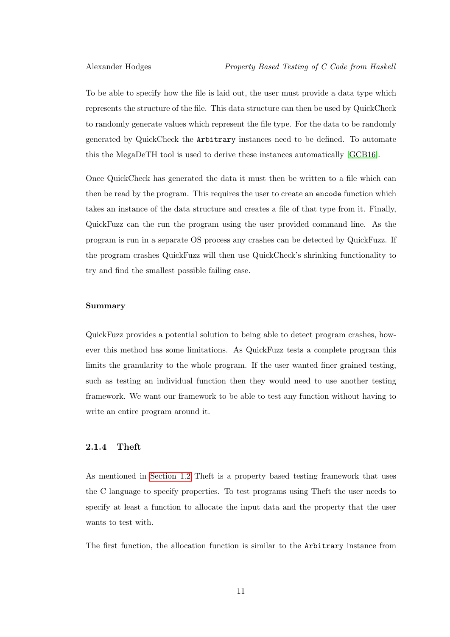To be able to specify how the file is laid out, the user must provide a data type which represents the structure of the file. This data structure can then be used by QuickCheck to randomly generate values which represent the file type. For the data to be randomly generated by QuickCheck the Arbitrary instances need to be defined. To automate this the MegaDeTH tool is used to derive these instances automatically [\[GCB16\]](#page-34-7).

Once QuickCheck has generated the data it must then be written to a file which can then be read by the program. This requires the user to create an encode function which takes an instance of the data structure and creates a file of that type from it. Finally, QuickFuzz can the run the program using the user provided command line. As the program is run in a separate OS process any crashes can be detected by QuickFuzz. If the program crashes QuickFuzz will then use QuickCheck's shrinking functionality to try and find the smallest possible failing case.

#### Summary

QuickFuzz provides a potential solution to being able to detect program crashes, however this method has some limitations. As QuickFuzz tests a complete program this limits the granularity to the whole program. If the user wanted finer grained testing, such as testing an individual function then they would need to use another testing framework. We want our framework to be able to test any function without having to write an entire program around it.

#### <span id="page-14-0"></span>2.1.4 Theft

As mentioned in [Section 1.2](#page-6-0) Theft is a property based testing framework that uses the C language to specify properties. To test programs using Theft the user needs to specify at least a function to allocate the input data and the property that the user wants to test with.

The first function, the allocation function is similar to the Arbitrary instance from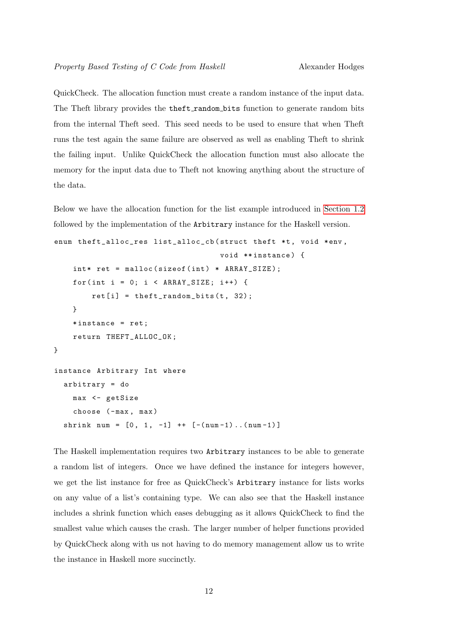QuickCheck. The allocation function must create a random instance of the input data. The Theft library provides the theft random bits function to generate random bits from the internal Theft seed. This seed needs to be used to ensure that when Theft runs the test again the same failure are observed as well as enabling Theft to shrink the failing input. Unlike QuickCheck the allocation function must also allocate the memory for the input data due to Theft not knowing anything about the structure of the data.

Below we have the allocation function for the list example introduced in [Section 1.2](#page-6-0) followed by the implementation of the Arbitrary instance for the Haskell version.

```
enum theft_alloc_res list_alloc_cb(struct theft *t, void *env,
                                     void ** instance ) {
    \texttt{int*} ret = malloc(sizeof(int) * ARRAY_SIZE);
    for(int i = 0; i < ARRAY_SIZE; i++) {
        ret[i] = theft\_random\_bits(t, 32);}
    * instance = ret;
    return THEFT_ALLOC_OK ;
}
instance Arbitrary Int where
  arbitrary = do
    max <- getSize
    choose (-max, max)
  shrink num = [0, 1, -1] ++ [-(num-1) \dots (num-1)]
```
The Haskell implementation requires two Arbitrary instances to be able to generate a random list of integers. Once we have defined the instance for integers however, we get the list instance for free as QuickCheck's Arbitrary instance for lists works on any value of a list's containing type. We can also see that the Haskell instance includes a shrink function which eases debugging as it allows QuickCheck to find the smallest value which causes the crash. The larger number of helper functions provided by QuickCheck along with us not having to do memory management allow us to write the instance in Haskell more succinctly.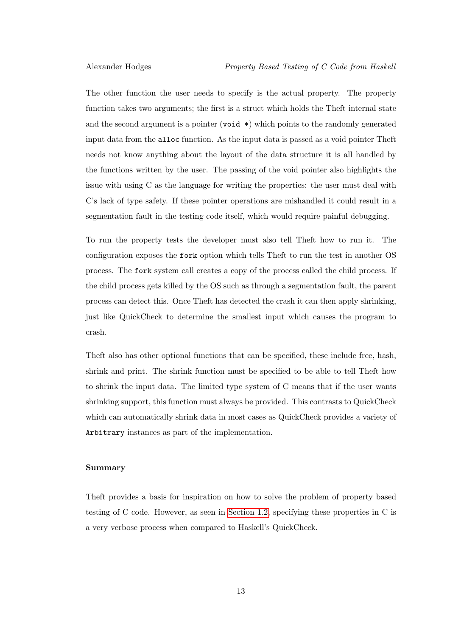The other function the user needs to specify is the actual property. The property function takes two arguments; the first is a struct which holds the Theft internal state and the second argument is a pointer (void  $\ast$ ) which points to the randomly generated input data from the alloc function. As the input data is passed as a void pointer Theft needs not know anything about the layout of the data structure it is all handled by the functions written by the user. The passing of the void pointer also highlights the issue with using C as the language for writing the properties: the user must deal with C's lack of type safety. If these pointer operations are mishandled it could result in a segmentation fault in the testing code itself, which would require painful debugging.

To run the property tests the developer must also tell Theft how to run it. The configuration exposes the fork option which tells Theft to run the test in another OS process. The fork system call creates a copy of the process called the child process. If the child process gets killed by the OS such as through a segmentation fault, the parent process can detect this. Once Theft has detected the crash it can then apply shrinking, just like QuickCheck to determine the smallest input which causes the program to crash.

Theft also has other optional functions that can be specified, these include free, hash, shrink and print. The shrink function must be specified to be able to tell Theft how to shrink the input data. The limited type system of C means that if the user wants shrinking support, this function must always be provided. This contrasts to QuickCheck which can automatically shrink data in most cases as QuickCheck provides a variety of Arbitrary instances as part of the implementation.

#### Summary

Theft provides a basis for inspiration on how to solve the problem of property based testing of C code. However, as seen in [Section 1.2,](#page-6-0) specifying these properties in C is a very verbose process when compared to Haskell's QuickCheck.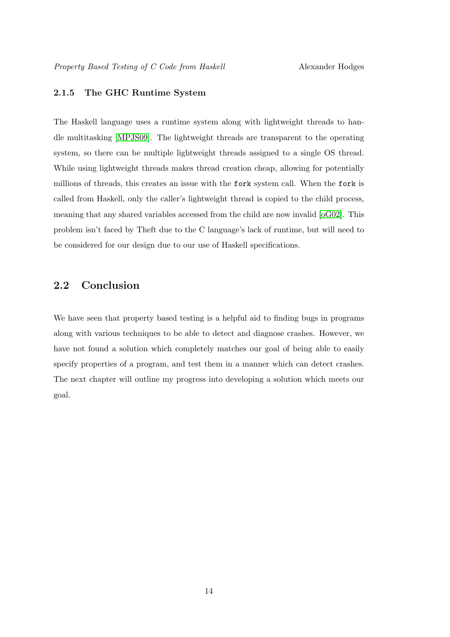#### <span id="page-17-0"></span>2.1.5 The GHC Runtime System

The Haskell language uses a runtime system along with lightweight threads to handle multitasking [\[MPJS09\]](#page-34-8). The lightweight threads are transparent to the operating system, so there can be multiple lightweight threads assigned to a single OS thread. While using lightweight threads makes thread creation cheap, allowing for potentially millions of threads, this creates an issue with the fork system call. When the fork is called from Haskell, only the caller's lightweight thread is copied to the child process, meaning that any shared variables accessed from the child are now invalid [\[oG02\]](#page-34-9). This problem isn't faced by Theft due to the C language's lack of runtime, but will need to be considered for our design due to our use of Haskell specifications.

#### <span id="page-17-1"></span>2.2 Conclusion

We have seen that property based testing is a helpful aid to finding bugs in programs along with various techniques to be able to detect and diagnose crashes. However, we have not found a solution which completely matches our goal of being able to easily specify properties of a program, and test them in a manner which can detect crashes. The next chapter will outline my progress into developing a solution which meets our goal.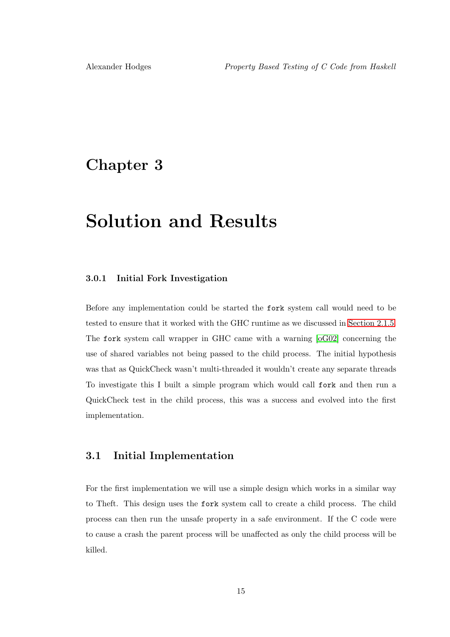## <span id="page-18-0"></span>Chapter 3

## Solution and Results

#### <span id="page-18-1"></span>3.0.1 Initial Fork Investigation

Before any implementation could be started the fork system call would need to be tested to ensure that it worked with the GHC runtime as we discussed in [Section 2.1.5.](#page-17-0) The fork system call wrapper in GHC came with a warning [\[oG02\]](#page-34-9) concerning the use of shared variables not being passed to the child process. The initial hypothesis was that as QuickCheck wasn't multi-threaded it wouldn't create any separate threads To investigate this I built a simple program which would call fork and then run a QuickCheck test in the child process, this was a success and evolved into the first implementation.

#### <span id="page-18-2"></span>3.1 Initial Implementation

For the first implementation we will use a simple design which works in a similar way to Theft. This design uses the fork system call to create a child process. The child process can then run the unsafe property in a safe environment. If the C code were to cause a crash the parent process will be unaffected as only the child process will be killed.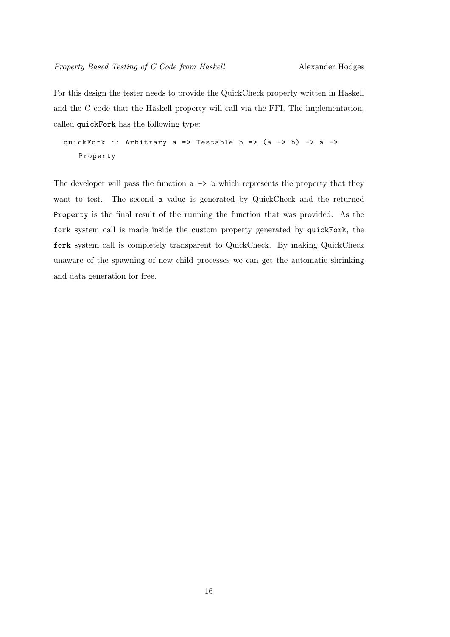For this design the tester needs to provide the QuickCheck property written in Haskell and the C code that the Haskell property will call via the FFI. The implementation, called quickFork has the following type:

```
quickFork :: Arbitrary a \Rightarrow Testable b \Rightarrow (a \rightarrow b) \Rightarrow a \RightarrowProperty
```
The developer will pass the function  $a \rightarrow b$  which represents the property that they want to test. The second a value is generated by QuickCheck and the returned Property is the final result of the running the function that was provided. As the fork system call is made inside the custom property generated by quickFork, the fork system call is completely transparent to QuickCheck. By making QuickCheck unaware of the spawning of new child processes we can get the automatic shrinking and data generation for free.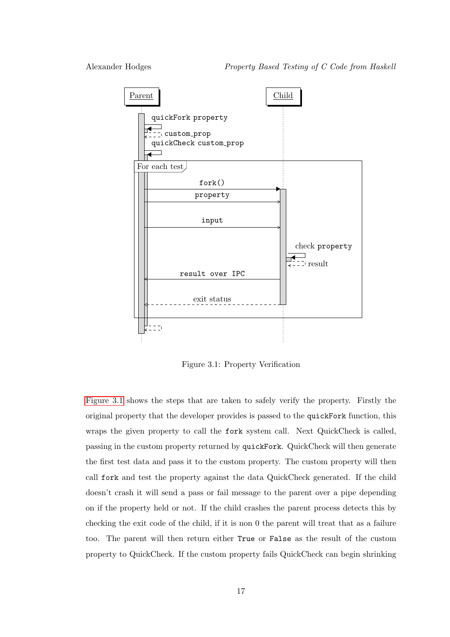<span id="page-20-0"></span>

Alexander Hodges Property Based Testing of C Code from Haskell



Figure 3.1: Property Verification

[Figure 3.1](#page-20-0) shows the steps that are taken to safely verify the property. Firstly the original property that the developer provides is passed to the quickFork function, this wraps the given property to call the fork system call. Next QuickCheck is called, passing in the custom property returned by quickFork. QuickCheck will then generate the first test data and pass it to the custom property. The custom property will then call fork and test the property against the data QuickCheck generated. If the child doesn't crash it will send a pass or fail message to the parent over a pipe depending on if the property held or not. If the child crashes the parent process detects this by checking the exit code of the child, if it is non 0 the parent will treat that as a failure too. The parent will then return either True or False as the result of the custom property to QuickCheck. If the custom property fails QuickCheck can begin shrinking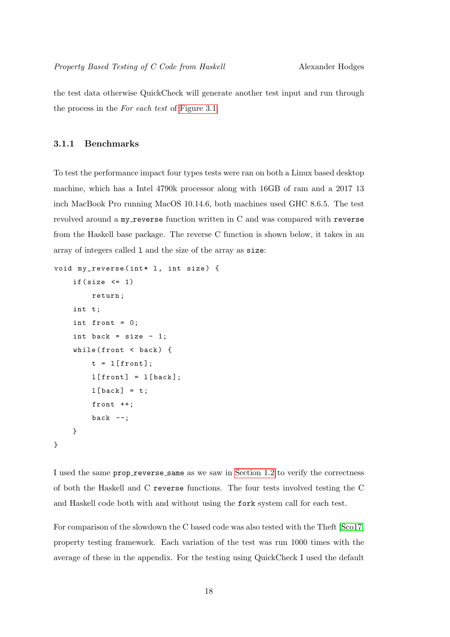the test data otherwise QuickCheck will generate another test input and run through the process in the For each test of [Figure 3.1.](#page-20-0)

#### <span id="page-21-0"></span>3.1.1 Benchmarks

To test the performance impact four types tests were ran on both a Linux based desktop machine, which has a Intel 4790k processor along with 16GB of ram and a 2017 13 inch MacBook Pro running MacOS 10.14.6, both machines used GHC 8.6.5. The test revolved around a my reverse function written in C and was compared with reverse from the Haskell base package. The reverse C function is shown below, it takes in an array of integers called l and the size of the array as size:

```
void my_reverse(int* 1, int size) {
    if ( size < = 1)return ;
    int t;
    int front = 0;
    int back = size - 1;
    while (front < back) {
        t = 1 [front];
        l[front] = l[back];
        l [back] = t;front ++;
        back --;}
}
```
I used the same prop reverse same as we saw in [Section 1.2](#page-6-0) to verify the correctness of both the Haskell and C reverse functions. The four tests involved testing the C and Haskell code both with and without using the fork system call for each test.

For comparison of the slowdown the C based code was also tested with the Theft [\[Sco17\]](#page-34-3) property testing framework. Each variation of the test was run 1000 times with the average of these in the appendix. For the testing using QuickCheck I used the default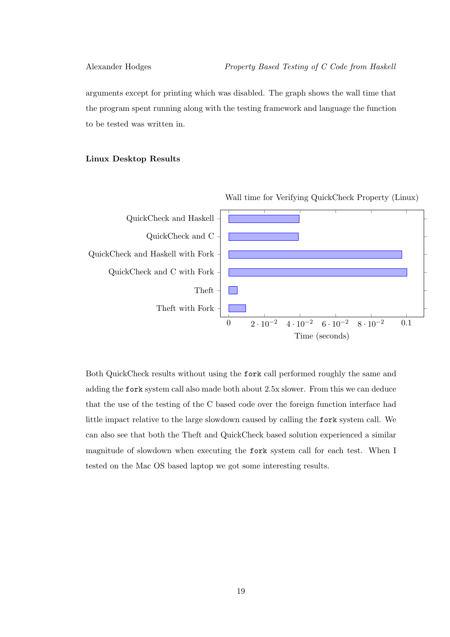arguments except for printing which was disabled. The graph shows the wall time that the program spent running along with the testing framework and language the function to be tested was written in.

#### Linux Desktop Results



Both QuickCheck results without using the fork call performed roughly the same and adding the fork system call also made both about 2.5x slower. From this we can deduce that the use of the testing of the C based code over the foreign function interface had little impact relative to the large slowdown caused by calling the fork system call. We can also see that both the Theft and QuickCheck based solution experienced a similar magnitude of slowdown when executing the fork system call for each test. When I tested on the Mac OS based laptop we got some interesting results.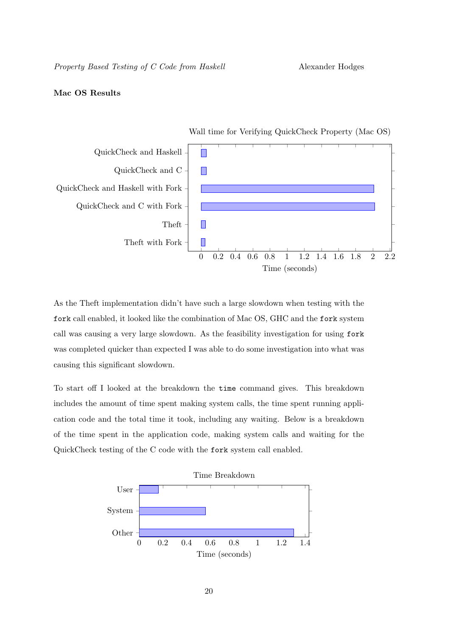#### Mac OS Results



As the Theft implementation didn't have such a large slowdown when testing with the fork call enabled, it looked like the combination of Mac OS, GHC and the fork system call was causing a very large slowdown. As the feasibility investigation for using fork was completed quicker than expected I was able to do some investigation into what was causing this significant slowdown.

To start off I looked at the breakdown the time command gives. This breakdown includes the amount of time spent making system calls, the time spent running application code and the total time it took, including any waiting. Below is a breakdown of the time spent in the application code, making system calls and waiting for the QuickCheck testing of the C code with the fork system call enabled.

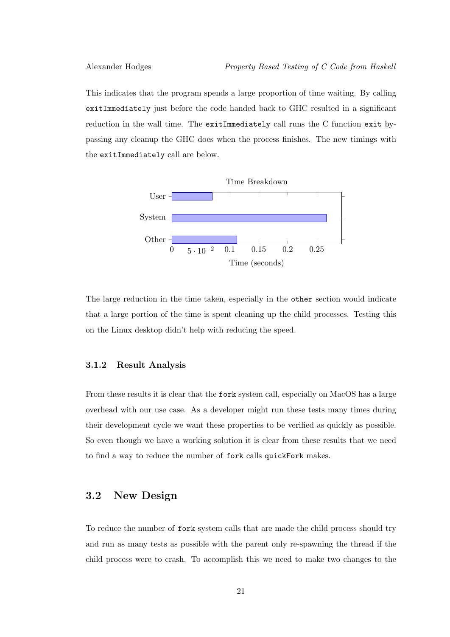This indicates that the program spends a large proportion of time waiting. By calling exitImmediately just before the code handed back to GHC resulted in a significant reduction in the wall time. The exitImmediately call runs the C function exit bypassing any cleanup the GHC does when the process finishes. The new timings with the exitImmediately call are below.



The large reduction in the time taken, especially in the other section would indicate that a large portion of the time is spent cleaning up the child processes. Testing this on the Linux desktop didn't help with reducing the speed.

#### <span id="page-24-0"></span>3.1.2 Result Analysis

From these results it is clear that the fork system call, especially on MacOS has a large overhead with our use case. As a developer might run these tests many times during their development cycle we want these properties to be verified as quickly as possible. So even though we have a working solution it is clear from these results that we need to find a way to reduce the number of fork calls quickFork makes.

#### <span id="page-24-1"></span>3.2 New Design

To reduce the number of fork system calls that are made the child process should try and run as many tests as possible with the parent only re-spawning the thread if the child process were to crash. To accomplish this we need to make two changes to the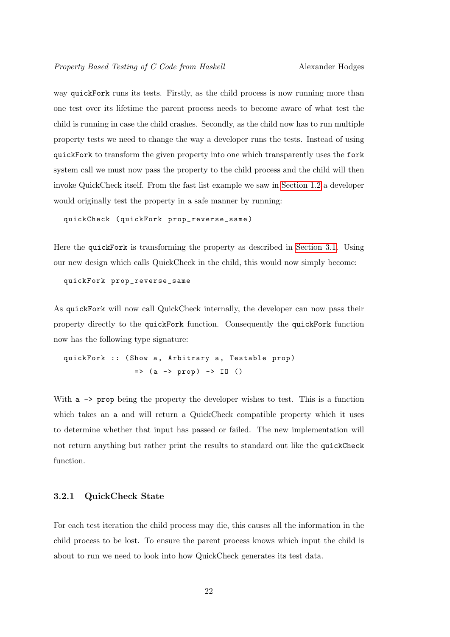way quickFork runs its tests. Firstly, as the child process is now running more than one test over its lifetime the parent process needs to become aware of what test the child is running in case the child crashes. Secondly, as the child now has to run multiple property tests we need to change the way a developer runs the tests. Instead of using quickFork to transform the given property into one which transparently uses the fork system call we must now pass the property to the child process and the child will then invoke QuickCheck itself. From the fast list example we saw in [Section 1.2](#page-6-0) a developer would originally test the property in a safe manner by running:

quickCheck ( quickFork prop\_reverse\_same )

Here the quickFork is transforming the property as described in [Section 3.1.](#page-18-2) Using our new design which calls QuickCheck in the child, this would now simply become:

#### quickFork prop\_reverse\_same

As quickFork will now call QuickCheck internally, the developer can now pass their property directly to the quickFork function. Consequently the quickFork function now has the following type signature:

```
quickFork :: (Show a, Arbitrary a, Testable prop)
                 \Rightarrow (a -> prop) -> I0 ()
```
With a  $\rightarrow$  prop being the property the developer wishes to test. This is a function which takes an a and will return a QuickCheck compatible property which it uses to determine whether that input has passed or failed. The new implementation will not return anything but rather print the results to standard out like the quickCheck function.

#### <span id="page-25-0"></span>3.2.1 QuickCheck State

For each test iteration the child process may die, this causes all the information in the child process to be lost. To ensure the parent process knows which input the child is about to run we need to look into how QuickCheck generates its test data.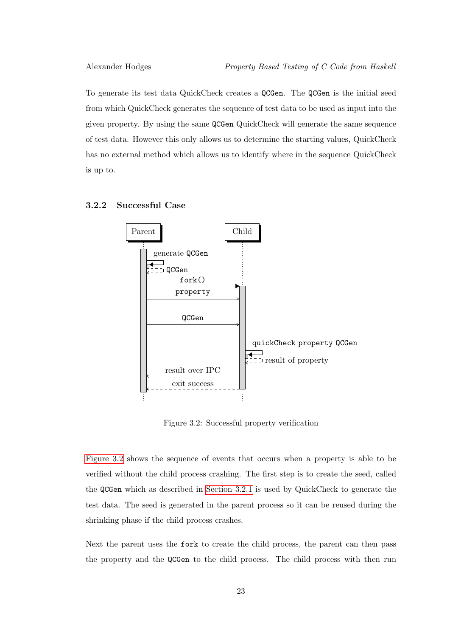To generate its test data QuickCheck creates a QCGen. The QCGen is the initial seed from which QuickCheck generates the sequence of test data to be used as input into the given property. By using the same QCGen QuickCheck will generate the same sequence of test data. However this only allows us to determine the starting values, QuickCheck has no external method which allows us to identify where in the sequence QuickCheck is up to.



#### <span id="page-26-1"></span><span id="page-26-0"></span>3.2.2 Successful Case

Figure 3.2: Successful property verification

[Figure 3.2](#page-26-1) shows the sequence of events that occurs when a property is able to be verified without the child process crashing. The first step is to create the seed, called the QCGen which as described in [Section 3.2.1](#page-25-0) is used by QuickCheck to generate the test data. The seed is generated in the parent process so it can be reused during the shrinking phase if the child process crashes.

Next the parent uses the fork to create the child process, the parent can then pass the property and the QCGen to the child process. The child process with then run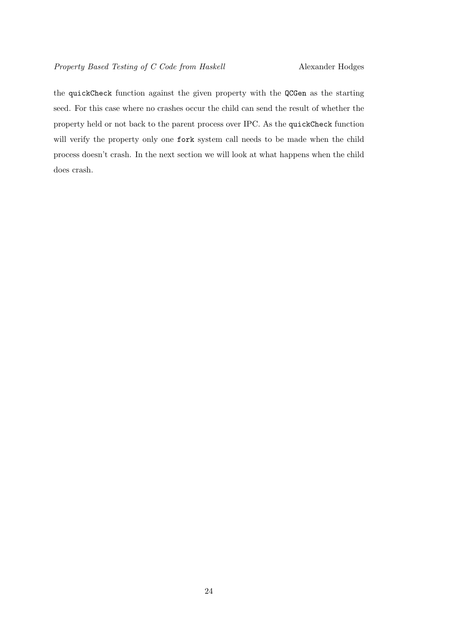the quickCheck function against the given property with the QCGen as the starting seed. For this case where no crashes occur the child can send the result of whether the property held or not back to the parent process over IPC. As the quickCheck function will verify the property only one fork system call needs to be made when the child process doesn't crash. In the next section we will look at what happens when the child does crash.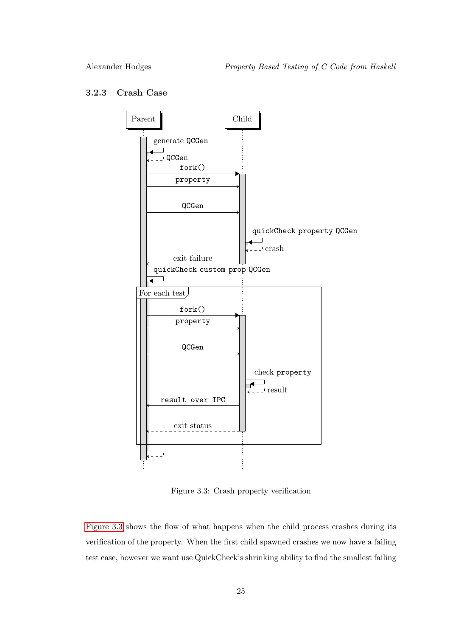#### <span id="page-28-1"></span><span id="page-28-0"></span>3.2.3 Crash Case



Figure 3.3: Crash property verification

[Figure 3.3](#page-28-1) shows the flow of what happens when the child process crashes during its verification of the property. When the first child spawned crashes we now have a failing test case, however we want use QuickCheck's shrinking ability to find the smallest failing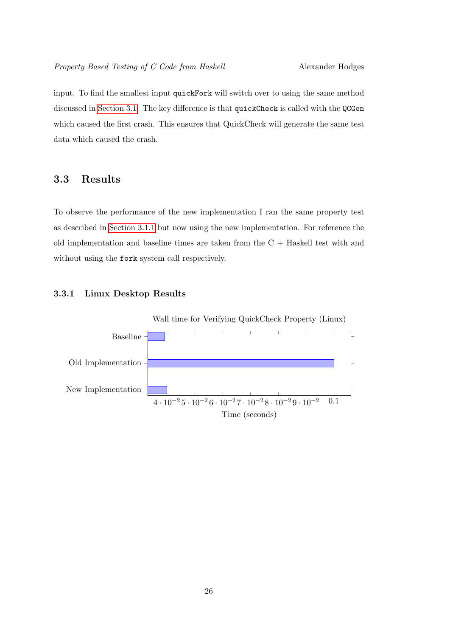input. To find the smallest input quickFork will switch over to using the same method discussed in [Section 3.1.](#page-18-2) The key difference is that quickCheck is called with the QCGen which caused the first crash. This ensures that QuickCheck will generate the same test data which caused the crash.

#### <span id="page-29-0"></span>3.3 Results

To observe the performance of the new implementation I ran the same property test as described in [Section 3.1.1](#page-21-0) but now using the new implementation. For reference the old implementation and baseline times are taken from the  $C +$  Haskell test with and without using the fork system call respectively.

#### <span id="page-29-1"></span>3.3.1 Linux Desktop Results

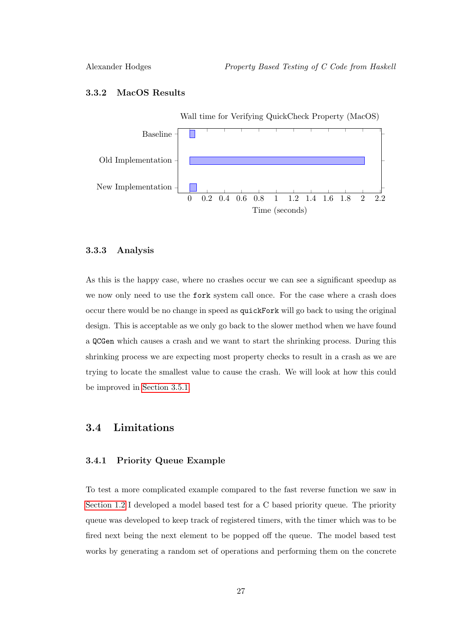#### <span id="page-30-0"></span>3.3.2 MacOS Results



#### <span id="page-30-1"></span>3.3.3 Analysis

As this is the happy case, where no crashes occur we can see a significant speedup as we now only need to use the fork system call once. For the case where a crash does occur there would be no change in speed as quickFork will go back to using the original design. This is acceptable as we only go back to the slower method when we have found a QCGen which causes a crash and we want to start the shrinking process. During this shrinking process we are expecting most property checks to result in a crash as we are trying to locate the smallest value to cause the crash. We will look at how this could be improved in [Section 3.5.1.](#page-32-2)

#### <span id="page-30-3"></span><span id="page-30-2"></span>3.4 Limitations

#### 3.4.1 Priority Queue Example

To test a more complicated example compared to the fast reverse function we saw in [Section 1.2](#page-6-0) I developed a model based test for a C based priority queue. The priority queue was developed to keep track of registered timers, with the timer which was to be fired next being the next element to be popped off the queue. The model based test works by generating a random set of operations and performing them on the concrete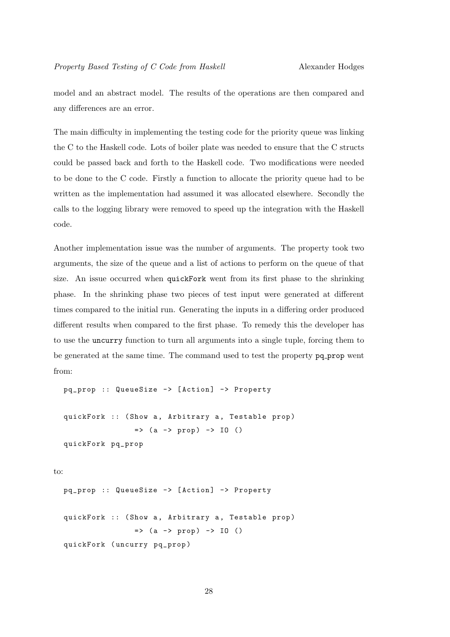model and an abstract model. The results of the operations are then compared and any differences are an error.

The main difficulty in implementing the testing code for the priority queue was linking the C to the Haskell code. Lots of boiler plate was needed to ensure that the C structs could be passed back and forth to the Haskell code. Two modifications were needed to be done to the C code. Firstly a function to allocate the priority queue had to be written as the implementation had assumed it was allocated elsewhere. Secondly the calls to the logging library were removed to speed up the integration with the Haskell code.

Another implementation issue was the number of arguments. The property took two arguments, the size of the queue and a list of actions to perform on the queue of that size. An issue occurred when quickFork went from its first phase to the shrinking phase. In the shrinking phase two pieces of test input were generated at different times compared to the initial run. Generating the inputs in a differing order produced different results when compared to the first phase. To remedy this the developer has to use the uncurry function to turn all arguments into a single tuple, forcing them to be generated at the same time. The command used to test the property pq prop went from:

```
pq_prop :: QueueSize -> [ Action ] -> Property
quickFork :: (Show a, Arbitrary a, Testable prop)
                \Rightarrow (a -> prop) -> IO ()
quickFork pq_prop
```
to:

```
pq_prop :: QueueSize -> [ Action ] -> Property
```

```
quickFork :: (Show a, Arbitrary a, Testable prop)
                 \Rightarrow (a -> prop) -> IO ()
quickFork ( uncurry pq_prop )
```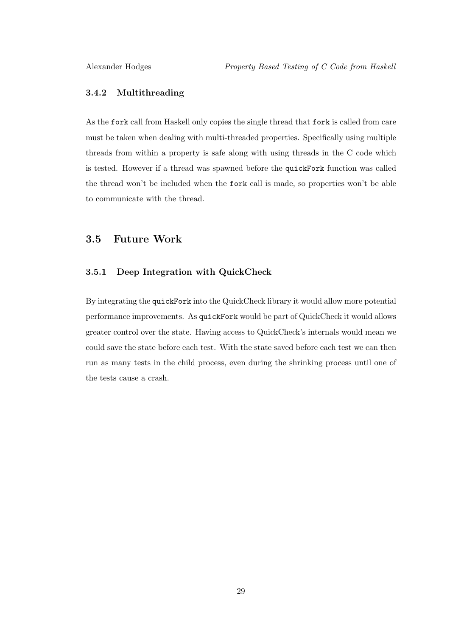#### <span id="page-32-0"></span>3.4.2 Multithreading

As the fork call from Haskell only copies the single thread that fork is called from care must be taken when dealing with multi-threaded properties. Specifically using multiple threads from within a property is safe along with using threads in the C code which is tested. However if a thread was spawned before the quickFork function was called the thread won't be included when the fork call is made, so properties won't be able to communicate with the thread.

#### <span id="page-32-2"></span><span id="page-32-1"></span>3.5 Future Work

#### 3.5.1 Deep Integration with QuickCheck

By integrating the quickFork into the QuickCheck library it would allow more potential performance improvements. As quickFork would be part of QuickCheck it would allows greater control over the state. Having access to QuickCheck's internals would mean we could save the state before each test. With the state saved before each test we can then run as many tests in the child process, even during the shrinking process until one of the tests cause a crash.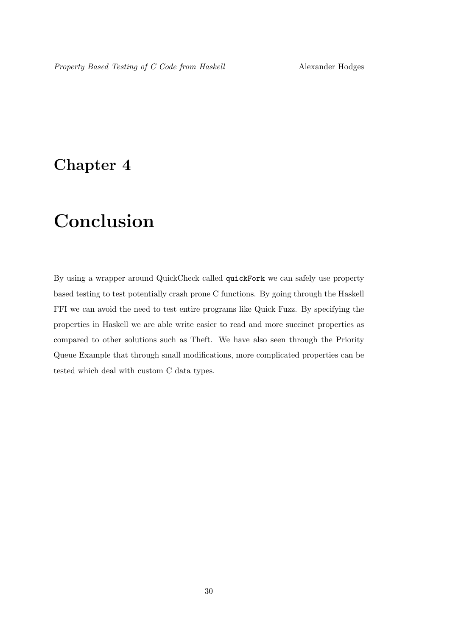## <span id="page-33-0"></span>Chapter 4

## Conclusion

By using a wrapper around QuickCheck called quickFork we can safely use property based testing to test potentially crash prone C functions. By going through the Haskell FFI we can avoid the need to test entire programs like Quick Fuzz. By specifying the properties in Haskell we are able write easier to read and more succinct properties as compared to other solutions such as Theft. We have also seen through the Priority Queue Example that through small modifications, more complicated properties can be tested which deal with custom C data types.